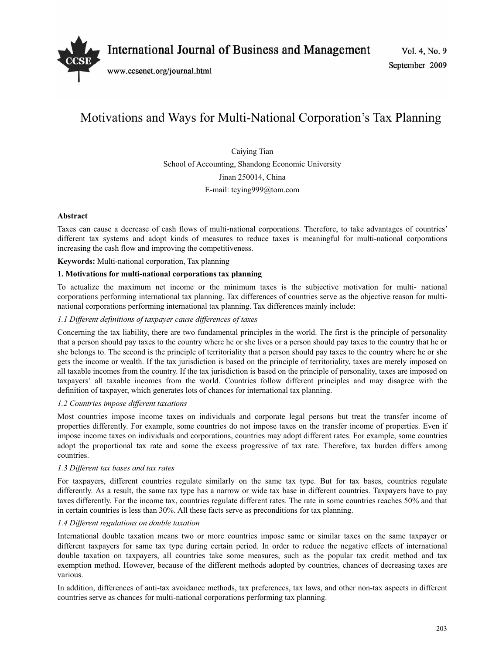

International Journal of Business and Management

www.ccsenet.org/journal.html

# Motivations and Ways for Multi-National Corporation's Tax Planning

Caiying Tian School of Accounting, Shandong Economic University Jinan 250014, China E-mail: tcying999@tom.com

# **Abstract**

Taxes can cause a decrease of cash flows of multi-national corporations. Therefore, to take advantages of countries' different tax systems and adopt kinds of measures to reduce taxes is meaningful for multi-national corporations increasing the cash flow and improving the competitiveness.

**Keywords:** Multi-national corporation, Tax planning

## **1. Motivations for multi-national corporations tax planning**

To actualize the maximum net income or the minimum taxes is the subjective motivation for multi- national corporations performing international tax planning. Tax differences of countries serve as the objective reason for multinational corporations performing international tax planning. Tax differences mainly include:

## *1.1 Different definitions of taxpayer cause differences of taxes*

Concerning the tax liability, there are two fundamental principles in the world. The first is the principle of personality that a person should pay taxes to the country where he or she lives or a person should pay taxes to the country that he or she belongs to. The second is the principle of territoriality that a person should pay taxes to the country where he or she gets the income or wealth. If the tax jurisdiction is based on the principle of territoriality, taxes are merely imposed on all taxable incomes from the country. If the tax jurisdiction is based on the principle of personality, taxes are imposed on taxpayers' all taxable incomes from the world. Countries follow different principles and may disagree with the definition of taxpayer, which generates lots of chances for international tax planning.

#### *1.2 Countries impose different taxations*

Most countries impose income taxes on individuals and corporate legal persons but treat the transfer income of properties differently. For example, some countries do not impose taxes on the transfer income of properties. Even if impose income taxes on individuals and corporations, countries may adopt different rates. For example, some countries adopt the proportional tax rate and some the excess progressive of tax rate. Therefore, tax burden differs among countries.

#### *1.3 Different tax bases and tax rates*

For taxpayers, different countries regulate similarly on the same tax type. But for tax bases, countries regulate differently. As a result, the same tax type has a narrow or wide tax base in different countries. Taxpayers have to pay taxes differently. For the income tax, countries regulate different rates. The rate in some countries reaches 50% and that in certain countries is less than 30%. All these facts serve as preconditions for tax planning.

# *1.4 Different regulations on double taxation*

International double taxation means two or more countries impose same or similar taxes on the same taxpayer or different taxpayers for same tax type during certain period. In order to reduce the negative effects of international double taxation on taxpayers, all countries take some measures, such as the popular tax credit method and tax exemption method. However, because of the different methods adopted by countries, chances of decreasing taxes are various.

In addition, differences of anti-tax avoidance methods, tax preferences, tax laws, and other non-tax aspects in different countries serve as chances for multi-national corporations performing tax planning.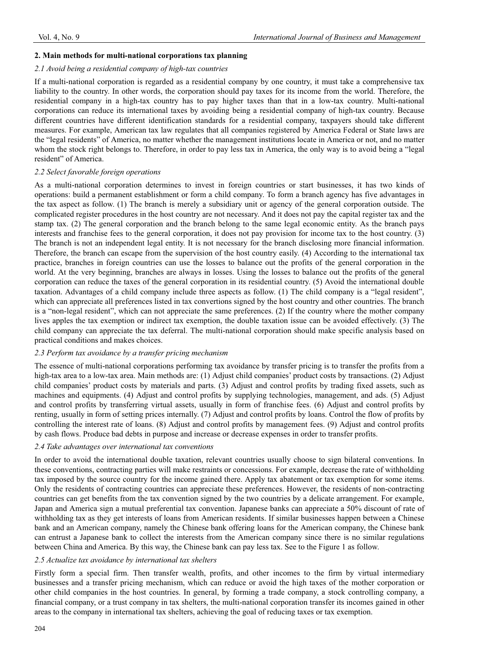#### **2. Main methods for multi-national corporations tax planning**

#### *2.1 Avoid being a residential company of high-tax countries*

If a multi-national corporation is regarded as a residential company by one country, it must take a comprehensive tax liability to the country. In other words, the corporation should pay taxes for its income from the world. Therefore, the residential company in a high-tax country has to pay higher taxes than that in a low-tax country. Multi-national corporations can reduce its international taxes by avoiding being a residential company of high-tax country. Because different countries have different identification standards for a residential company, taxpayers should take different measures. For example, American tax law regulates that all companies registered by America Federal or State laws are the "legal residents" of America, no matter whether the management institutions locate in America or not, and no matter whom the stock right belongs to. Therefore, in order to pay less tax in America, the only way is to avoid being a "legal resident" of America.

#### *2.2 Select favorable foreign operations*

As a multi-national corporation determines to invest in foreign countries or start businesses, it has two kinds of operations: build a permanent establishment or form a child company. To form a branch agency has five advantages in the tax aspect as follow. (1) The branch is merely a subsidiary unit or agency of the general corporation outside. The complicated register procedures in the host country are not necessary. And it does not pay the capital register tax and the stamp tax. (2) The general corporation and the branch belong to the same legal economic entity. As the branch pays interests and franchise fees to the general corporation, it does not pay provision for income tax to the host country. (3) The branch is not an independent legal entity. It is not necessary for the branch disclosing more financial information. Therefore, the branch can escape from the supervision of the host country easily. (4) According to the international tax practice, branches in foreign countries can use the losses to balance out the profits of the general corporation in the world. At the very beginning, branches are always in losses. Using the losses to balance out the profits of the general corporation can reduce the taxes of the general corporation in its residential country. (5) Avoid the international double taxation. Advantages of a child company include three aspects as follow. (1) The child company is a "legal resident", which can appreciate all preferences listed in tax convertions signed by the host country and other countries. The branch is a "non-legal resident", which can not appreciate the same preferences. (2) If the country where the mother company lives apples the tax exemption or indirect tax exemption, the double taxation issue can be avoided effectively. (3) The child company can appreciate the tax deferral. The multi-national corporation should make specific analysis based on practical conditions and makes choices.

#### *2.3 Perform tax avoidance by a transfer pricing mechanism*

The essence of multi-national corporations performing tax avoidance by transfer pricing is to transfer the profits from a high-tax area to a low-tax area. Main methods are: (1) Adjust child companies' product costs by transactions. (2) Adjust child companies' product costs by materials and parts. (3) Adjust and control profits by trading fixed assets, such as machines and equipments. (4) Adjust and control profits by supplying technologies, management, and ads. (5) Adjust and control profits by transferring virtual assets, usually in form of franchise fees. (6) Adjust and control profits by renting, usually in form of setting prices internally. (7) Adjust and control profits by loans. Control the flow of profits by controlling the interest rate of loans. (8) Adjust and control profits by management fees. (9) Adjust and control profits by cash flows. Produce bad debts in purpose and increase or decrease expenses in order to transfer profits.

# *2.4 Take advantages over international tax conventions*

In order to avoid the international double taxation, relevant countries usually choose to sign bilateral conventions. In these conventions, contracting parties will make restraints or concessions. For example, decrease the rate of withholding tax imposed by the source country for the income gained there. Apply tax abatement or tax exemption for some items. Only the residents of contracting countries can appreciate these preferences. However, the residents of non-contracting countries can get benefits from the tax convention signed by the two countries by a delicate arrangement. For example, Japan and America sign a mutual preferential tax convention. Japanese banks can appreciate a 50% discount of rate of withholding tax as they get interests of loans from American residents. If similar businesses happen between a Chinese bank and an American company, namely the Chinese bank offering loans for the American company, the Chinese bank can entrust a Japanese bank to collect the interests from the American company since there is no similar regulations between China and America. By this way, the Chinese bank can pay less tax. See to the Figure 1 as follow.

# *2.5 Actualize tax avoidance by international tax shelters*

Firstly form a special firm. Then transfer wealth, profits, and other incomes to the firm by virtual intermediary businesses and a transfer pricing mechanism, which can reduce or avoid the high taxes of the mother corporation or other child companies in the host countries. In general, by forming a trade company, a stock controlling company, a financial company, or a trust company in tax shelters, the multi-national corporation transfer its incomes gained in other areas to the company in international tax shelters, achieving the goal of reducing taxes or tax exemption.